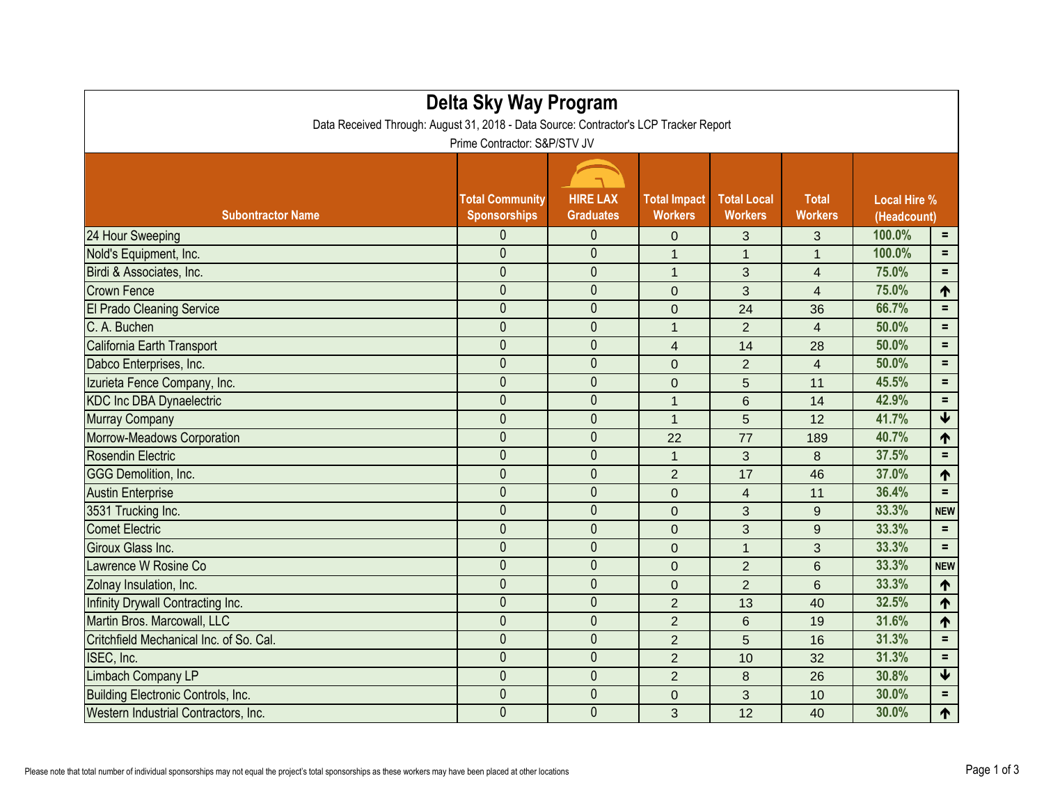| <b>Delta Sky Way Program</b><br>Data Received Through: August 31, 2018 - Data Source: Contractor's LCP Tracker Report<br>Prime Contractor: S&P/STV JV |                |                  |                |                 |                |        |                    |  |
|-------------------------------------------------------------------------------------------------------------------------------------------------------|----------------|------------------|----------------|-----------------|----------------|--------|--------------------|--|
|                                                                                                                                                       |                |                  |                |                 |                |        |                    |  |
| 24 Hour Sweeping                                                                                                                                      | 0              | $\theta$         | $\theta$       | 3               | 3              | 100.0% | $=$                |  |
| Nold's Equipment, Inc.                                                                                                                                | $\mathbf{0}$   | $\mathbf{0}$     | 1              | 1               | $\mathbf 1$    | 100.0% | $\equiv$           |  |
| Birdi & Associates, Inc.                                                                                                                              | $\mathbf{0}$   | $\theta$         | $\mathbf 1$    | 3               | $\overline{4}$ | 75.0%  | $\equiv$           |  |
| <b>Crown Fence</b>                                                                                                                                    | $\overline{0}$ | $\overline{0}$   | $\overline{0}$ | 3               | $\overline{4}$ | 75.0%  | 1                  |  |
| <b>El Prado Cleaning Service</b>                                                                                                                      | $\mathbf{0}$   | $\theta$         | $\overline{0}$ | 24              | 36             | 66.7%  | $\equiv$           |  |
| C. A. Buchen                                                                                                                                          | $\pmb{0}$      | $\bf 0$          | $\mathbf{1}$   | $\overline{2}$  | $\overline{4}$ | 50.0%  | $\equiv$           |  |
| California Earth Transport                                                                                                                            | $\mathbf{0}$   | $\theta$         | $\overline{4}$ | 14              | 28             | 50.0%  | $\equiv$           |  |
| Dabco Enterprises, Inc.                                                                                                                               | $\overline{0}$ | $\theta$         | $\overline{0}$ | $\overline{2}$  | $\overline{4}$ | 50.0%  | $\equiv$           |  |
| Izurieta Fence Company, Inc.                                                                                                                          | $\mathbf{0}$   | $\bf 0$          | $\mathbf 0$    | 5               | 11             | 45.5%  | $=$                |  |
| <b>KDC Inc DBA Dynaelectric</b>                                                                                                                       | $\mathbf{0}$   | $\mathbf{0}$     | $\mathbf{1}$   | 6               | 14             | 42.9%  | $\equiv$           |  |
| Murray Company                                                                                                                                        | $\overline{0}$ | $\mathbf{0}$     | 1              | 5               | 12             | 41.7%  | $\blacklozenge$    |  |
| Morrow-Meadows Corporation                                                                                                                            | $\mathbf{0}$   | $\pmb{0}$        | 22             | 77              | 189            | 40.7%  | $\uparrow$         |  |
| Rosendin Electric                                                                                                                                     | $\mathbf{0}$   | $\mathbf{0}$     | $\mathbf 1$    | 3               | 8              | 37.5%  | $\equiv$           |  |
| <b>GGG Demolition, Inc.</b>                                                                                                                           | $\theta$       | $\theta$         | $\overline{2}$ | 17              | 46             | 37.0%  | 1                  |  |
| <b>Austin Enterprise</b>                                                                                                                              | $\mathbf{0}$   | $\boldsymbol{0}$ | $\mathbf 0$    | $\overline{4}$  | 11             | 36.4%  | $=$                |  |
| 3531 Trucking Inc.                                                                                                                                    | $\mathbf{0}$   | $\theta$         | $\overline{0}$ | 3               | $9$            | 33.3%  | <b>NEW</b>         |  |
| <b>Comet Electric</b>                                                                                                                                 | 0              | $\mathbf{0}$     | $\overline{0}$ | 3               | 9              | 33.3%  | $\equiv$           |  |
| Giroux Glass Inc.                                                                                                                                     | $\mathbf{0}$   | $\mathbf{0}$     | $\overline{0}$ | $\mathbf 1$     | 3              | 33.3%  | $=$                |  |
| Lawrence W Rosine Co                                                                                                                                  | $\mathbf{0}$   | $\mathbf{0}$     | $\overline{0}$ | $\overline{2}$  | $6\phantom{1}$ | 33.3%  | <b>NEW</b>         |  |
| Zolnay Insulation, Inc.                                                                                                                               | $\mathbf 0$    | $\mathbf{0}$     | $\mathbf 0$    | $\overline{2}$  | $6\phantom{1}$ | 33.3%  | $\blacklozenge$    |  |
| Infinity Drywall Contracting Inc.                                                                                                                     | $\mathbf{0}$   | $\theta$         | $\overline{2}$ | 13              | 40             | 32.5%  | $\uparrow$         |  |
| Martin Bros. Marcowall, LLC                                                                                                                           | $\mathbf{0}$   | $\mathbf{0}$     | $\overline{2}$ | $6\phantom{1}6$ | 19             | 31.6%  | ↑                  |  |
| Critchfield Mechanical Inc. of So. Cal.                                                                                                               | $\mathbf 0$    | $\theta$         | $\overline{2}$ | 5               | 16             | 31.3%  | $=$                |  |
| ISEC, Inc.                                                                                                                                            | $\mathbf 0$    | $\theta$         | $\overline{2}$ | 10              | 32             | 31.3%  | $\equiv$           |  |
| Limbach Company LP                                                                                                                                    | $\mathbf{0}$   | $\theta$         | $\overline{2}$ | 8               | 26             | 30.8%  | $\bigtriangledown$ |  |
| Building Electronic Controls, Inc.                                                                                                                    | $\mathbf{0}$   | $\mathbf 0$      | $\mathbf 0$    | 3               | 10             | 30.0%  | $=$                |  |
| <b>Western Industrial Contractors, Inc.</b>                                                                                                           | $\mathbf 0$    | $\mathbf 0$      | $\mathbf{3}$   | 12              | 40             | 30.0%  | $\uparrow$         |  |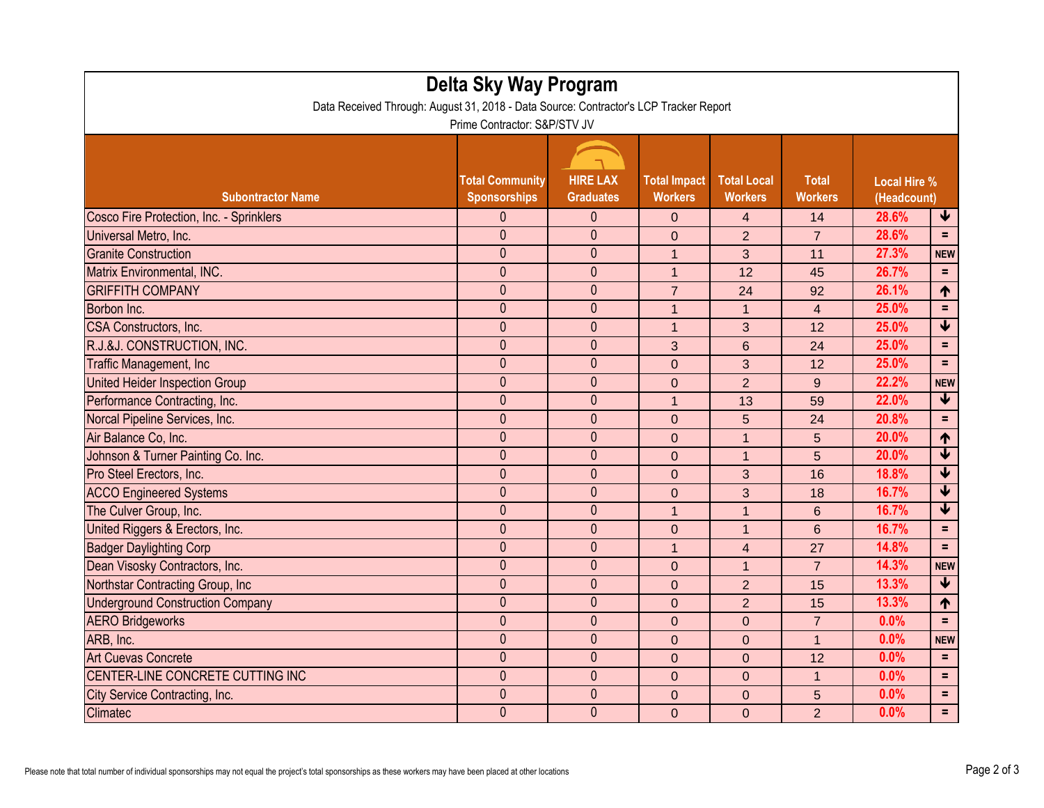| Delta Sky Way Program<br>Data Received Through: August 31, 2018 - Data Source: Contractor's LCP Tracker Report<br>Prime Contractor: S&P/STV JV |                                               |                                     |                                       |                                      |                                |                                    |                         |  |
|------------------------------------------------------------------------------------------------------------------------------------------------|-----------------------------------------------|-------------------------------------|---------------------------------------|--------------------------------------|--------------------------------|------------------------------------|-------------------------|--|
| <b>Subontractor Name</b>                                                                                                                       | <b>Total Community</b><br><b>Sponsorships</b> | <b>HIRE LAX</b><br><b>Graduates</b> | <b>Total Impact</b><br><b>Workers</b> | <b>Total Local</b><br><b>Workers</b> | <b>Total</b><br><b>Workers</b> | <b>Local Hire %</b><br>(Headcount) |                         |  |
| Cosco Fire Protection, Inc. - Sprinklers                                                                                                       | $\Omega$                                      | $\theta$                            | $\mathbf 0$                           | 4                                    | 14                             | 28.6%                              | $\downarrow$            |  |
| Universal Metro, Inc.                                                                                                                          | $\mathbf{0}$                                  | $\mathbf 0$                         | $\mathbf 0$                           | $\overline{2}$                       | $\overline{7}$                 | 28.6%                              | $\equiv$                |  |
| <b>Granite Construction</b>                                                                                                                    | $\mathbf{0}$                                  | $\mathbf{0}$                        | $\mathbf{1}$                          | 3                                    | 11                             | 27.3%                              | <b>NEW</b>              |  |
| Matrix Environmental, INC.                                                                                                                     | $\overline{0}$                                | $\theta$                            | $\mathbf{1}$                          | 12                                   | 45                             | 26.7%                              | $=$                     |  |
| <b>GRIFFITH COMPANY</b>                                                                                                                        | $\mathbf{0}$                                  | $\theta$                            | $\overline{7}$                        | 24                                   | 92                             | 26.1%                              | 1                       |  |
| Borbon Inc.                                                                                                                                    | $\mathbf{0}$                                  | $\theta$                            | 1                                     | $\mathbf 1$                          | $\overline{4}$                 | 25.0%                              | $\equiv$                |  |
| <b>CSA Constructors, Inc.</b>                                                                                                                  | $\mathbf{0}$                                  | $\theta$                            | $\overline{1}$                        | 3                                    | 12                             | 25.0%                              | $\blacklozenge$         |  |
| R.J.&J. CONSTRUCTION, INC.                                                                                                                     | $\mathbf{0}$                                  | $\theta$                            | 3                                     | 6                                    | 24                             | 25.0%                              | $=$                     |  |
| <b>Traffic Management, Inc.</b>                                                                                                                | $\mathbf{0}$                                  | $\theta$                            | $\mathbf 0$                           | 3                                    | 12                             | 25.0%                              | $\equiv$                |  |
| <b>United Heider Inspection Group</b>                                                                                                          | $\overline{0}$                                | $\mathbf{0}$                        | $\mathbf 0$                           | $\overline{2}$                       | 9                              | 22.2%                              | <b>NEW</b>              |  |
| Performance Contracting, Inc.                                                                                                                  | $\mathbf{0}$                                  | $\mathbf{0}$                        | $\mathbf{1}$                          | 13                                   | 59                             | 22.0%                              | $\blacklozenge$         |  |
| Norcal Pipeline Services, Inc.                                                                                                                 | $\overline{0}$                                | $\mathbf{0}$                        | $\mathbf 0$                           | 5                                    | 24                             | 20.8%                              | $=$                     |  |
| Air Balance Co, Inc.                                                                                                                           | $\overline{0}$                                | $\mathbf{0}$                        | $\mathbf 0$                           | $\overline{1}$                       | 5                              | 20.0%                              | 1                       |  |
| Johnson & Turner Painting Co. Inc.                                                                                                             | $\mathbf{0}$                                  | $\theta$                            | $\mathbf 0$                           | $\mathbf 1$                          | 5                              | 20.0%                              | $\blacklozenge$         |  |
| Pro Steel Erectors, Inc.                                                                                                                       | $\mathbf{0}$                                  | $\theta$                            | $\mathbf 0$                           | 3                                    | 16                             | 18.8%                              | $\blacklozenge$         |  |
| <b>ACCO Engineered Systems</b>                                                                                                                 | $\overline{0}$                                | $\overline{0}$                      | $\overline{0}$                        | 3                                    | 18                             | 16.7%                              | $\bigtriangledown$      |  |
| The Culver Group, Inc.                                                                                                                         | $\mathbf{0}$                                  | $\theta$                            | $\mathbf{1}$                          | 1                                    | 6                              | 16.7%                              | $\blacklozenge$         |  |
| United Riggers & Erectors, Inc.                                                                                                                | $\mathbf{0}$                                  | $\mathbf 0$                         | $\pmb{0}$                             | $\mathbf{1}$                         | $6\phantom{1}$                 | 16.7%                              | $\equiv$                |  |
| <b>Badger Daylighting Corp</b>                                                                                                                 | $\mathbf{0}$                                  | $\overline{0}$                      | $\mathbf{1}$                          | $\overline{4}$                       | 27                             | 14.8%                              | $=$                     |  |
| Dean Visosky Contractors, Inc.                                                                                                                 | $\mathbf{0}$                                  | $\theta$                            | $\mathbf 0$                           | 1                                    | $\overline{7}$                 | 14.3%                              | <b>NEW</b>              |  |
| Northstar Contracting Group, Inc.                                                                                                              | $\overline{0}$                                | $\mathbf{0}$                        | $\mathbf 0$                           | $\overline{2}$                       | 15                             | 13.3%                              | $\overline{\mathbf{V}}$ |  |
| <b>Underground Construction Company</b>                                                                                                        | $\overline{0}$                                | $\mathbf{0}$                        | $\overline{0}$                        | $\overline{2}$                       | 15                             | 13.3%                              | ↑                       |  |
| <b>AERO Bridgeworks</b>                                                                                                                        | $\overline{0}$                                | $\theta$                            | $\mathbf 0$                           | $\mathbf 0$                          | $\overline{7}$                 | 0.0%                               | $=$                     |  |
| ARB, Inc.                                                                                                                                      | $\overline{0}$                                | $\mathbf{0}$                        | $\mathbf 0$                           | $\mathbf{0}$                         | $\mathbf 1$                    | 0.0%                               | <b>NEW</b>              |  |
| <b>Art Cuevas Concrete</b>                                                                                                                     | $\overline{0}$                                | $\mathbf{0}$                        | $\overline{0}$                        | $\overline{0}$                       | 12                             | 0.0%                               | $\equiv$                |  |
| CENTER-LINE CONCRETE CUTTING INC                                                                                                               | $\mathbf{0}$                                  | $\theta$                            | $\mathbf 0$                           | $\mathbf 0$                          | 1                              | 0.0%                               | $=$                     |  |
| City Service Contracting, Inc.                                                                                                                 | $\mathbf{0}$                                  | $\mathbf{0}$                        | $\mathbf 0$                           | $\mathbf 0$                          | 5                              | 0.0%                               | $\equiv$                |  |
| <b>Climatec</b>                                                                                                                                | $\pmb{0}$                                     | $\mathbf 0$                         | $\pmb{0}$                             | $\overline{0}$                       | $\overline{2}$                 | 0.0%                               | $\equiv$ .              |  |